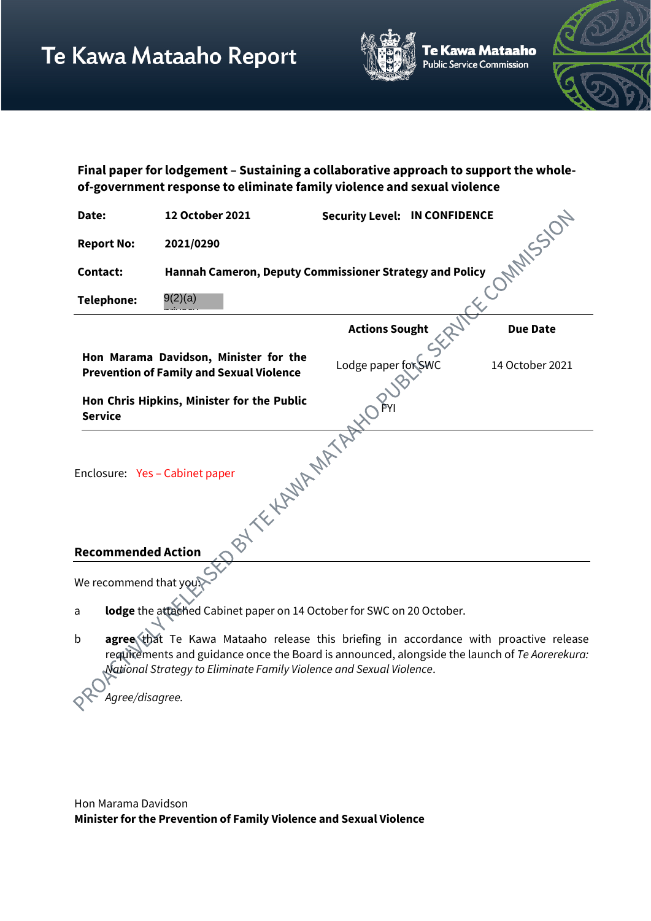

e Kawa Mataaho ublic Service Commission



**Final paper for lodgement – Sustaining a collaborative approach to support the wholeof-government response to eliminate family violence and sexual violence**

| Date:                                                                      | 12 October 2021                                                                          | <b>Security Level: IN CONFIDENCE</b> |  |                 |
|----------------------------------------------------------------------------|------------------------------------------------------------------------------------------|--------------------------------------|--|-----------------|
| <b>Report No:</b>                                                          | 2021/0290                                                                                |                                      |  | <b>MAILSICI</b> |
| <b>Contact:</b>                                                            | Hannah Cameron, Deputy Commissioner Strategy and Policy                                  |                                      |  |                 |
| <b>Telephone:</b>                                                          | 9(2)(a)                                                                                  |                                      |  |                 |
|                                                                            |                                                                                          | <b>Actions Sought</b>                |  | <b>Due Date</b> |
|                                                                            | Hon Marama Davidson, Minister for the<br><b>Prevention of Family and Sexual Violence</b> | Lodge paper for SWC                  |  | 14 October 2021 |
| <b>Service</b>                                                             | Hon Chris Hipkins, Minister for the Public                                               |                                      |  |                 |
| BY TE HAWAY MATA<br>Enclosure: Yes - Cabinet paper                         |                                                                                          |                                      |  |                 |
| <b>Recommended Action</b>                                                  |                                                                                          |                                      |  |                 |
| We recommend that you                                                      |                                                                                          |                                      |  |                 |
| lodge the attached Cabinet paper on 14 October for SWC on 20 October.<br>a |                                                                                          |                                      |  |                 |

b **agree** that Te Kawa Mataaho release this briefing in accordance with proactive release requirements and guidance once the Board is announced, alongside the launch of *Te Aorerekura: National Strategy to Eliminate Family Violence and Sexual Violence*.

*Agree/disagree.*

Hon Marama Davidson **Minister for the Prevention of Family Violence and Sexual Violence**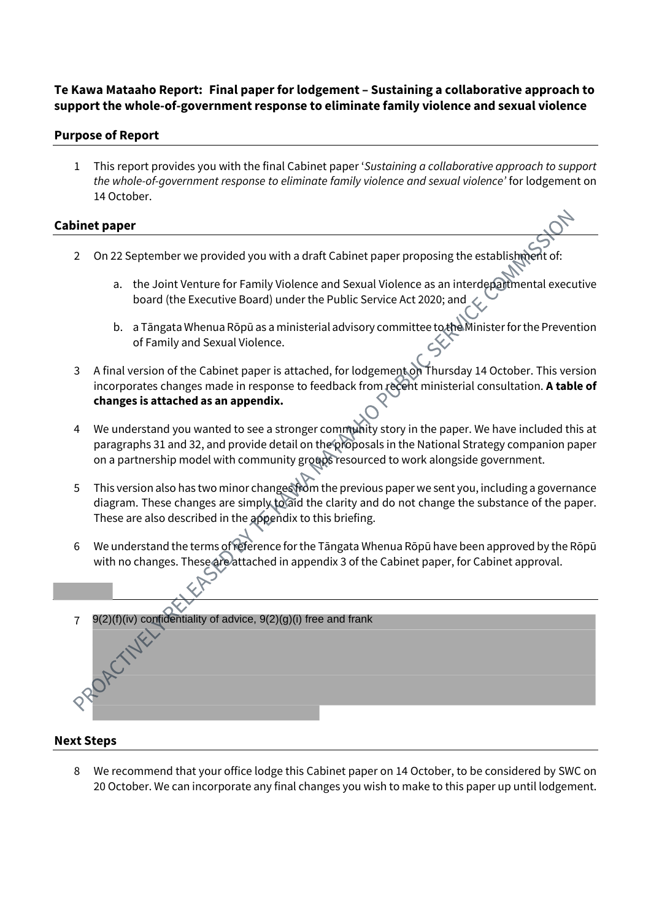# **Te Kawa Mataaho Report: Final paper for lodgement – Sustaining a collaborative approach to support the whole-of-government response to eliminate family violence and sexual violence**

## **Purpose of Report**

1 This report provides you with the final Cabinet paper '*Sustaining a collaborative approach to support the whole-of-government response to eliminate family violence and sexual violence'* for lodgement on 14 October.

## **Cabinet paper**

- 2 On 22 September we provided you with a draft Cabinet paper proposing the establishment of:
	- a. the Joint Venture for Family Violence and Sexual Violence as an interdepartmental executive board (the Executive Board) under the Public Service Act 2020; and
	- b. a Tāngata Whenua Rōpū as a ministerial advisory committee to the Minister for the Prevention of Family and Sexual Violence.
- 3 A final version of the Cabinet paper is attached, for lodgement on Thursday 14 October. This version incorporates changes made in response to feedback from recent ministerial consultation. A table of **changes is attached as an appendix.**
- 4 We understand you wanted to see a stronger community story in the paper. We have included this at paragraphs 31 and 32, and provide detail on the proposals in the National Strategy companion paper on a partnership model with community groups resourced to work alongside government.
- 5 This version also has two minor changes from the previous paper we sent you, including a governance diagram. These changes are simply to aid the clarity and do not change the substance of the paper. These are also described in the appendix to this briefing.
- 6 We understand the terms of reference for the Tāngata Whenua Rōpū have been approved by the Rōpū with no changes. These are attached in appendix 3 of the Cabinet paper, for Cabinet approval.

7 9(2)(f)(iv) confidentiality of advice, 9(2)(g)(i) free and frank

#### **Next Steps**

8 We recommend that your office lodge this Cabinet paper on 14 October, to be considered by SWC on 20 October. We can incorporate any final changes you wish to make to this paper up until lodgement.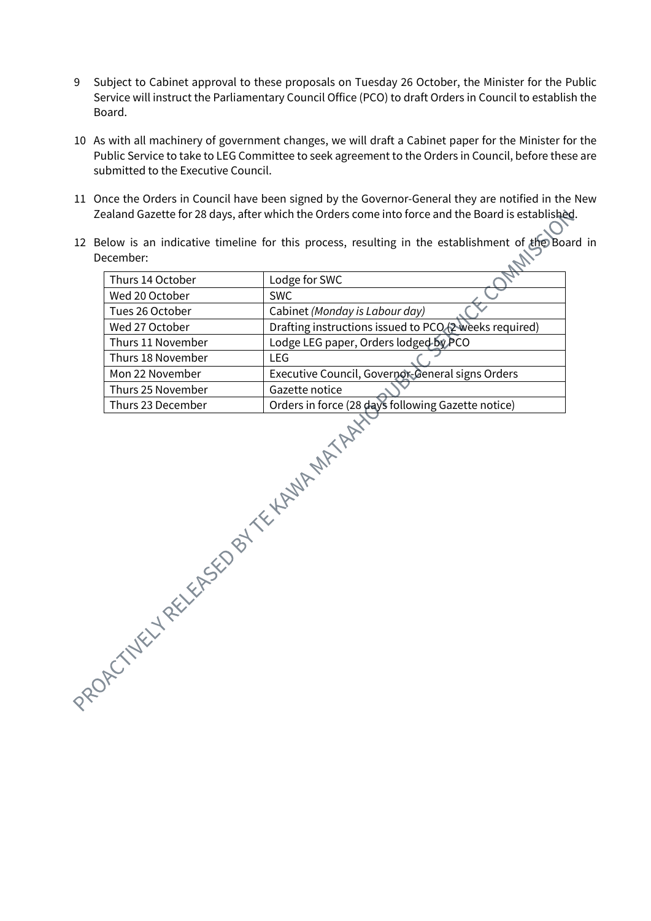- 9 Subject to Cabinet approval to these proposals on Tuesday 26 October, the Minister for the Public Service will instruct the Parliamentary Council Office (PCO) to draft Orders in Council to establish the Board.
- 10 As with all machinery of government changes, we will draft a Cabinet paper for the Minister for the Public Service to take to LEG Committee to seek agreement to the Orders in Council, before these are submitted to the Executive Council.
- 11 Once the Orders in Council have been signed by the Governor-General they are notified in the New Zealand Gazette for 28 days, after which the Orders come into force and the Board is established.
- 12 Below is an indicative timeline for this process, resulting in the establishment of the Board in December: December:

| Thurs 14 October  | Lodge for SWC                                          |
|-------------------|--------------------------------------------------------|
| Wed 20 October    | <b>SWC</b>                                             |
| Tues 26 October   | Cabinet (Monday is Labour day)                         |
| Wed 27 October    | Drafting instructions issued to PCO (2 weeks required) |
| Thurs 11 November | Lodge LEG paper, Orders lodged-by PCO                  |
| Thurs 18 November | LEG.                                                   |
| Mon 22 November   | Executive Council, Governor-General signs Orders       |
| Thurs 25 November | Gazette notice                                         |
| Thurs 23 December | Orders in force (28 days following Gazette notice)     |
|                   |                                                        |